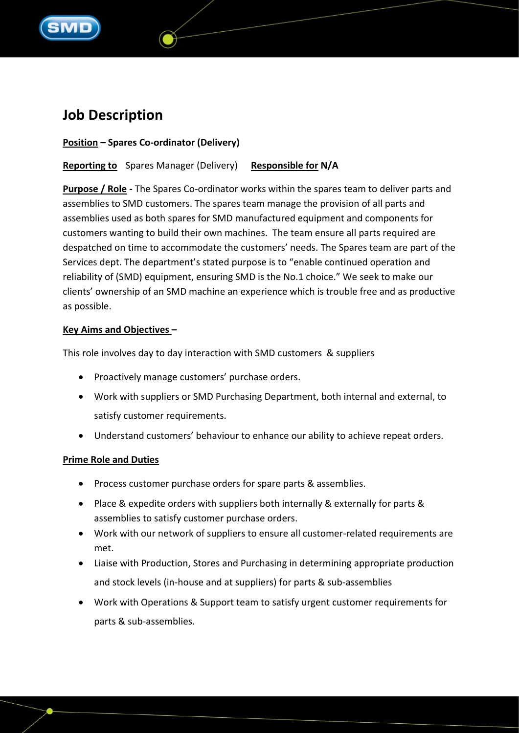

# **Job Description**

## **Position – Spares Co-ordinator (Delivery)**

**Reporting to** Spares Manager (Delivery) **Responsible for N/A**

**Purpose / Role -** The Spares Co-ordinator works within the spares team to deliver parts and assemblies to SMD customers. The spares team manage the provision of all parts and assemblies used as both spares for SMD manufactured equipment and components for customers wanting to build their own machines. The team ensure all parts required are despatched on time to accommodate the customers' needs. The Spares team are part of the Services dept. The department's stated purpose is to "enable continued operation and reliability of (SMD) equipment, ensuring SMD is the No.1 choice." We seek to make our clients' ownership of an SMD machine an experience which is trouble free and as productive as possible.

#### **Key Aims and Objectives –**

This role involves day to day interaction with SMD customers & suppliers

- Proactively manage customers' purchase orders.
- Work with suppliers or SMD Purchasing Department, both internal and external, to satisfy customer requirements.
- Understand customers' behaviour to enhance our ability to achieve repeat orders.

## **Prime Role and Duties**

- Process customer purchase orders for spare parts & assemblies.
- Place & expedite orders with suppliers both internally & externally for parts & assemblies to satisfy customer purchase orders.
- Work with our network of suppliers to ensure all customer-related requirements are met.
- Liaise with Production, Stores and Purchasing in determining appropriate production and stock levels (in-house and at suppliers) for parts & sub-assemblies
- Work with Operations & Support team to satisfy urgent customer requirements for parts & sub-assemblies.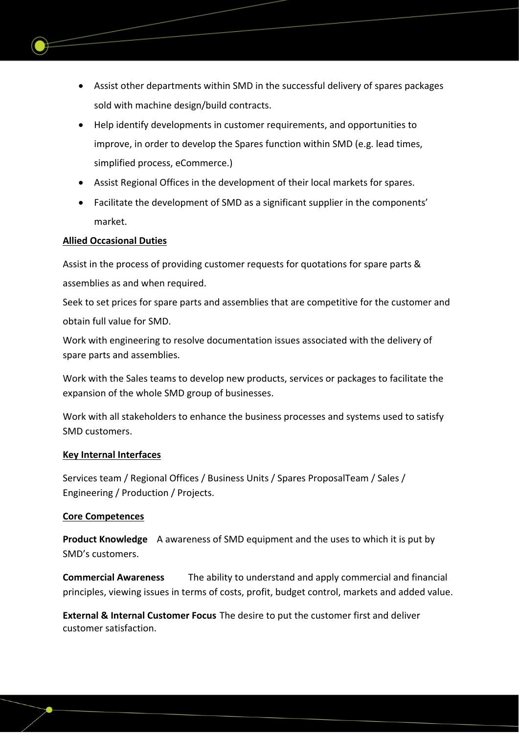- Assist other departments within SMD in the successful delivery of spares packages sold with machine design/build contracts.
- Help identify developments in customer requirements, and opportunities to improve, in order to develop the Spares function within SMD (e.g. lead times, simplified process, eCommerce.)
- Assist Regional Offices in the development of their local markets for spares.
- Facilitate the development of SMD as a significant supplier in the components' market.

## **Allied Occasional Duties**

Assist in the process of providing customer requests for quotations for spare parts & assemblies as and when required.

Seek to set prices for spare parts and assemblies that are competitive for the customer and obtain full value for SMD.

Work with engineering to resolve documentation issues associated with the delivery of spare parts and assemblies.

Work with the Sales teams to develop new products, services or packages to facilitate the expansion of the whole SMD group of businesses.

Work with all stakeholders to enhance the business processes and systems used to satisfy SMD customers.

#### **Key Internal Interfaces**

Services team / Regional Offices / Business Units / Spares ProposalTeam / Sales / Engineering / Production / Projects.

#### **Core Competences**

**Product Knowledge** A awareness of SMD equipment and the uses to which it is put by SMD's customers.

**Commercial Awareness** The ability to understand and apply commercial and financial principles, viewing issues in terms of costs, profit, budget control, markets and added value.

**External & Internal Customer Focus** The desire to put the customer first and deliver customer satisfaction.